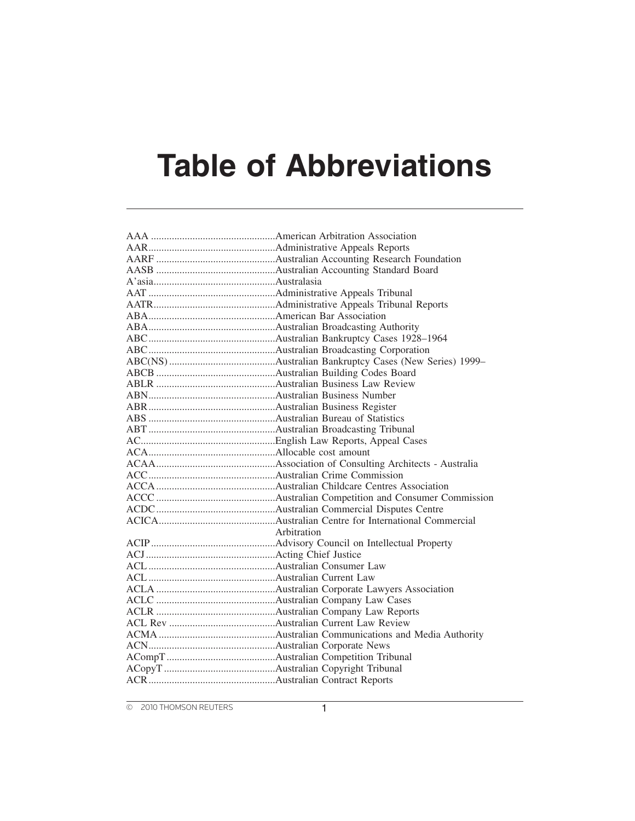## **Table of Abbreviations**

| Arbitration |
|-------------|
|             |
|             |
|             |
|             |
|             |
|             |
|             |
|             |
|             |
|             |
|             |
|             |
|             |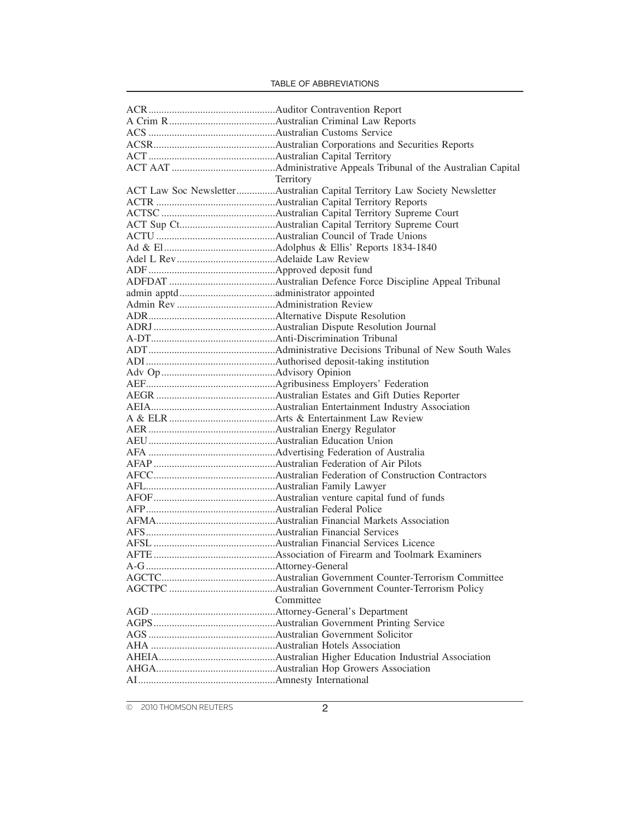| Territory                                                                 |
|---------------------------------------------------------------------------|
| ACT Law Soc NewsletterAustralian Capital Territory Law Society Newsletter |
|                                                                           |
|                                                                           |
|                                                                           |
|                                                                           |
|                                                                           |
|                                                                           |
|                                                                           |
|                                                                           |
|                                                                           |
|                                                                           |
|                                                                           |
|                                                                           |
|                                                                           |
|                                                                           |
|                                                                           |
|                                                                           |
|                                                                           |
|                                                                           |
|                                                                           |
|                                                                           |
|                                                                           |
|                                                                           |
|                                                                           |
|                                                                           |
|                                                                           |
|                                                                           |
|                                                                           |
|                                                                           |
|                                                                           |
|                                                                           |
|                                                                           |
|                                                                           |
|                                                                           |
|                                                                           |
|                                                                           |
|                                                                           |
| Committee                                                                 |
|                                                                           |
|                                                                           |
|                                                                           |
|                                                                           |
|                                                                           |
|                                                                           |
|                                                                           |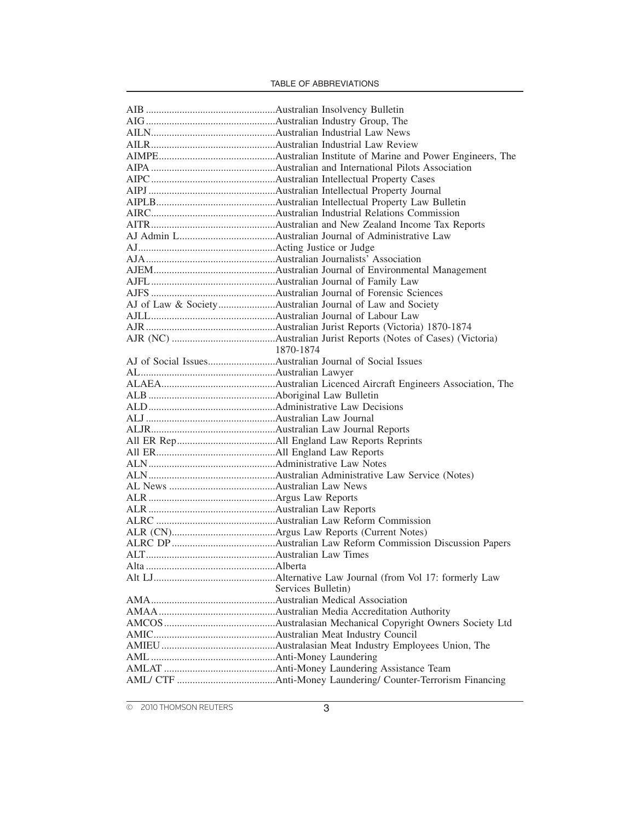| Services Bulletin) |
|--------------------|
|                    |
|                    |
|                    |
|                    |
|                    |
|                    |
|                    |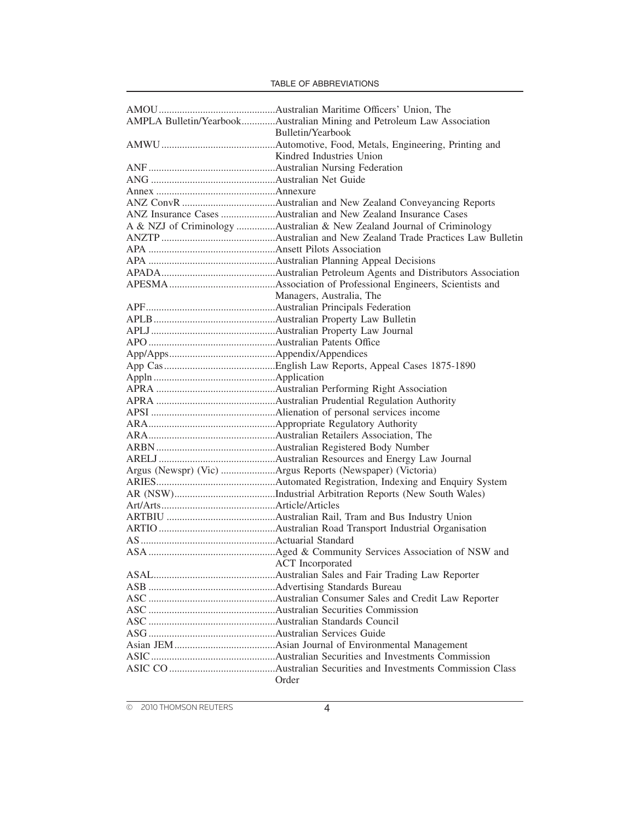|                         | AMPLA Bulletin/YearbookAustralian Mining and Petroleum Law Association |
|-------------------------|------------------------------------------------------------------------|
|                         | Bulletin/Yearbook                                                      |
|                         |                                                                        |
|                         | Kindred Industries Union                                               |
|                         |                                                                        |
|                         |                                                                        |
|                         |                                                                        |
|                         |                                                                        |
|                         | ANZ Insurance Cases Australian and New Zealand Insurance Cases         |
|                         | A & NZJ of Criminology Australian & New Zealand Journal of Criminology |
|                         |                                                                        |
|                         |                                                                        |
|                         |                                                                        |
|                         |                                                                        |
|                         |                                                                        |
|                         | Managers, Australia, The                                               |
|                         |                                                                        |
|                         |                                                                        |
|                         |                                                                        |
|                         |                                                                        |
|                         |                                                                        |
|                         |                                                                        |
|                         |                                                                        |
|                         |                                                                        |
|                         |                                                                        |
|                         |                                                                        |
|                         |                                                                        |
|                         |                                                                        |
|                         |                                                                        |
|                         |                                                                        |
|                         | Argus (Newspr) (Vic) Argus Reports (Newspaper) (Victoria)              |
|                         |                                                                        |
|                         |                                                                        |
|                         |                                                                        |
|                         |                                                                        |
|                         |                                                                        |
|                         |                                                                        |
|                         |                                                                        |
| <b>ACT</b> Incorporated |                                                                        |
|                         |                                                                        |
|                         |                                                                        |
|                         |                                                                        |
|                         |                                                                        |
|                         |                                                                        |
|                         |                                                                        |
|                         |                                                                        |
|                         |                                                                        |
|                         |                                                                        |
|                         | Order                                                                  |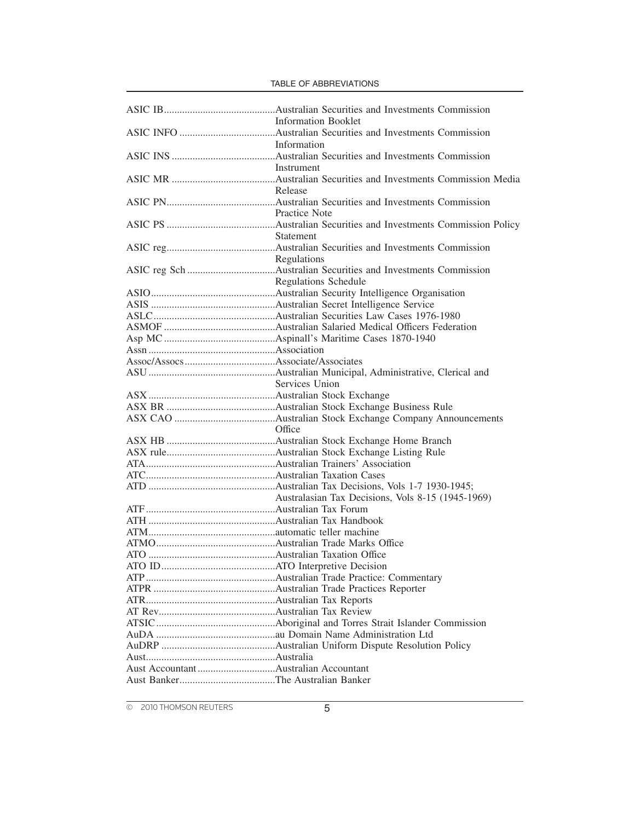| <b>Information Booklet</b>  |
|-----------------------------|
|                             |
| Information                 |
| Instrument                  |
| Release                     |
|                             |
| Practice Note               |
|                             |
| Statement                   |
|                             |
| Regulations                 |
|                             |
| <b>Regulations Schedule</b> |
|                             |
|                             |
|                             |
|                             |
|                             |
|                             |
|                             |
|                             |
| Services Union              |
|                             |
|                             |
|                             |
|                             |
|                             |
|                             |
|                             |
|                             |
|                             |
|                             |
|                             |
|                             |
|                             |
|                             |
|                             |
|                             |
|                             |
|                             |
|                             |
|                             |
|                             |
|                             |
|                             |
|                             |
|                             |
|                             |
|                             |

TABLE OF ABBREVIATIONS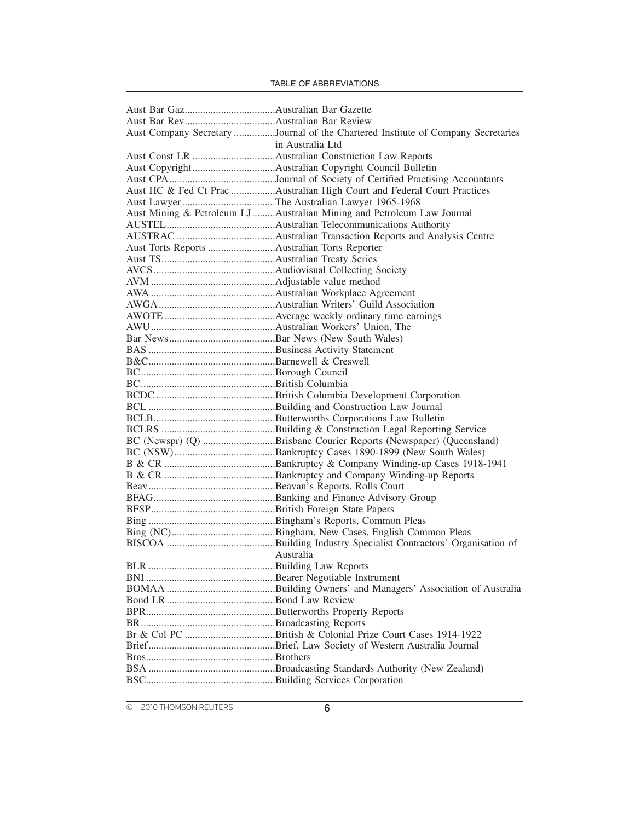|                                              | Aust Company Secretary Journal of the Chartered Institute of Company Secretaries |
|----------------------------------------------|----------------------------------------------------------------------------------|
|                                              | in Australia Ltd                                                                 |
|                                              |                                                                                  |
|                                              |                                                                                  |
|                                              |                                                                                  |
|                                              | Aust HC & Fed Ct Prac Australian High Court and Federal Court Practices          |
|                                              | Aust Lawyer The Australian Lawyer 1965-1968                                      |
|                                              | Aust Mining & Petroleum LJ Australian Mining and Petroleum Law Journal           |
|                                              |                                                                                  |
|                                              |                                                                                  |
| Aust Torts Reports Australian Torts Reporter |                                                                                  |
|                                              |                                                                                  |
|                                              |                                                                                  |
|                                              |                                                                                  |
|                                              |                                                                                  |
|                                              |                                                                                  |
|                                              |                                                                                  |
|                                              |                                                                                  |
|                                              |                                                                                  |
|                                              |                                                                                  |
|                                              |                                                                                  |
|                                              |                                                                                  |
|                                              |                                                                                  |
|                                              |                                                                                  |
|                                              |                                                                                  |
|                                              |                                                                                  |
|                                              |                                                                                  |
|                                              | BC (Newspr) (Q) Brisbane Courier Reports (Newspaper) (Queensland)                |
|                                              |                                                                                  |
|                                              |                                                                                  |
|                                              |                                                                                  |
|                                              |                                                                                  |
|                                              |                                                                                  |
|                                              |                                                                                  |
|                                              |                                                                                  |
|                                              |                                                                                  |
|                                              |                                                                                  |
|                                              | Australia                                                                        |
| <b>BLR</b>                                   |                                                                                  |
|                                              |                                                                                  |
|                                              |                                                                                  |
|                                              |                                                                                  |
|                                              |                                                                                  |
|                                              |                                                                                  |
|                                              |                                                                                  |
|                                              |                                                                                  |
|                                              |                                                                                  |
|                                              |                                                                                  |
|                                              |                                                                                  |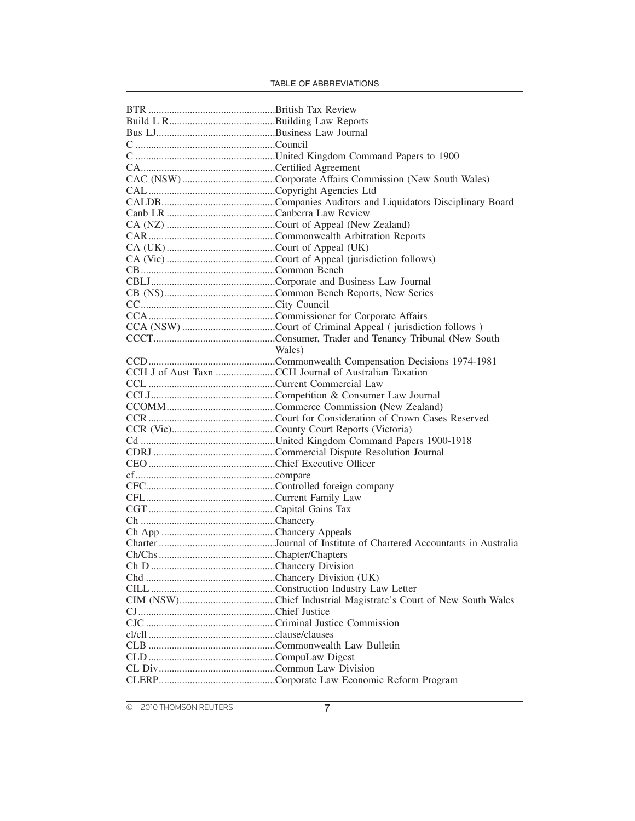| Wales)                                                |
|-------------------------------------------------------|
|                                                       |
| CCH J of Aust Taxn CCH Journal of Australian Taxation |
|                                                       |
|                                                       |
|                                                       |
|                                                       |
|                                                       |
|                                                       |
|                                                       |
|                                                       |
|                                                       |
|                                                       |
|                                                       |
|                                                       |
|                                                       |
|                                                       |
|                                                       |
|                                                       |
|                                                       |
|                                                       |
|                                                       |
|                                                       |
|                                                       |
|                                                       |
|                                                       |
|                                                       |
|                                                       |
|                                                       |
|                                                       |
|                                                       |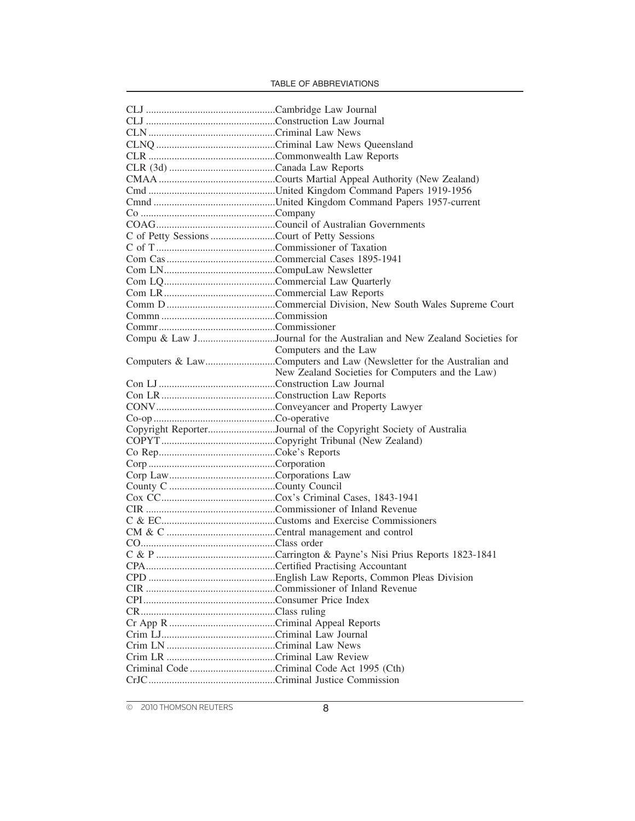| C of Petty Sessions Court of Petty Sessions |                                                                       |
|---------------------------------------------|-----------------------------------------------------------------------|
|                                             |                                                                       |
|                                             |                                                                       |
|                                             |                                                                       |
|                                             |                                                                       |
|                                             |                                                                       |
|                                             |                                                                       |
|                                             |                                                                       |
|                                             |                                                                       |
|                                             | Compu & Law JJournal for the Australian and New Zealand Societies for |
|                                             | Computers and the Law                                                 |
|                                             | Computers & LawComputers and Law (Newsletter for the Australian and   |
|                                             | New Zealand Societies for Computers and the Law)                      |
|                                             |                                                                       |
|                                             |                                                                       |
|                                             |                                                                       |
|                                             |                                                                       |
|                                             | Copyright ReporterJournal of the Copyright Society of Australia       |
|                                             |                                                                       |
|                                             |                                                                       |
|                                             |                                                                       |
|                                             |                                                                       |
|                                             |                                                                       |
|                                             |                                                                       |
|                                             |                                                                       |
|                                             |                                                                       |
|                                             |                                                                       |
|                                             |                                                                       |
|                                             |                                                                       |
|                                             |                                                                       |
|                                             |                                                                       |
|                                             |                                                                       |
|                                             |                                                                       |
|                                             |                                                                       |
|                                             |                                                                       |
|                                             |                                                                       |
|                                             |                                                                       |
|                                             |                                                                       |
|                                             |                                                                       |
|                                             |                                                                       |
|                                             |                                                                       |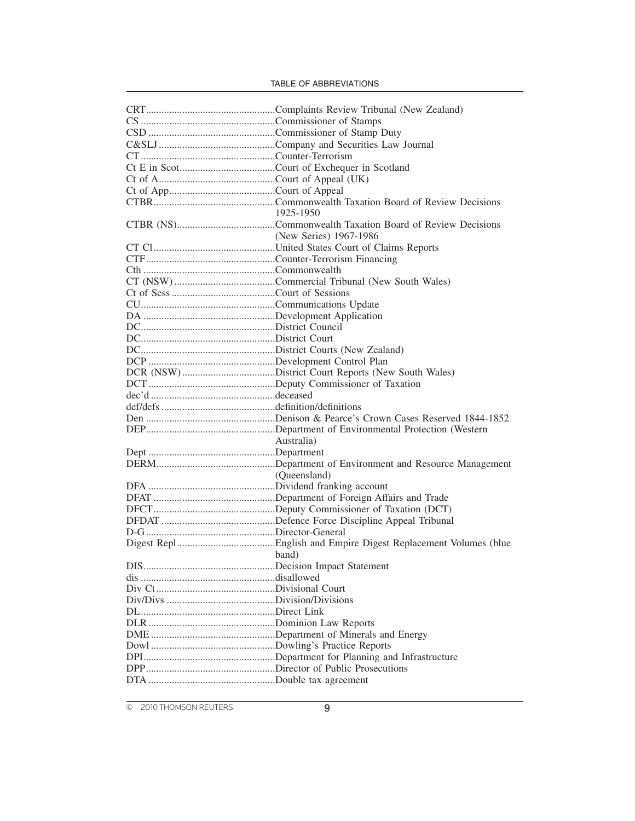|            | 1925-1950                 |
|------------|---------------------------|
|            |                           |
|            | (New Series) 1967-1986    |
|            |                           |
|            |                           |
|            |                           |
|            |                           |
|            |                           |
|            |                           |
|            |                           |
|            |                           |
|            |                           |
|            |                           |
|            |                           |
|            |                           |
|            |                           |
|            |                           |
|            |                           |
|            |                           |
|            |                           |
|            |                           |
|            | Australia)                |
|            |                           |
|            |                           |
|            | (Queensland)              |
|            |                           |
|            |                           |
|            |                           |
|            |                           |
|            |                           |
|            |                           |
|            | band)                     |
| <b>DIS</b> | Decision Impact Statement |
|            |                           |
|            |                           |
|            |                           |
|            |                           |
|            |                           |
|            |                           |
|            |                           |
|            |                           |
|            |                           |
|            |                           |
|            |                           |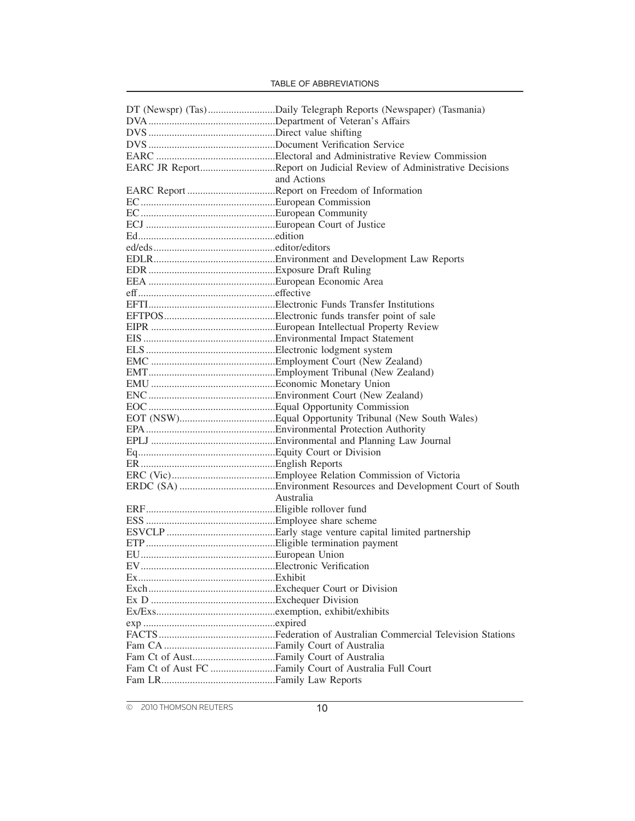| EARC JR ReportReport on Judicial Review of Administrative Decisions |
|---------------------------------------------------------------------|
| and Actions                                                         |
| EARC Report Report on Freedom of Information                        |
|                                                                     |
|                                                                     |
|                                                                     |
|                                                                     |
|                                                                     |
|                                                                     |
|                                                                     |
|                                                                     |
|                                                                     |
|                                                                     |
|                                                                     |
|                                                                     |
|                                                                     |
|                                                                     |
|                                                                     |
|                                                                     |
|                                                                     |
|                                                                     |
|                                                                     |
|                                                                     |
|                                                                     |
|                                                                     |
|                                                                     |
|                                                                     |
|                                                                     |
|                                                                     |
|                                                                     |
| Australia                                                           |
|                                                                     |
|                                                                     |
|                                                                     |
|                                                                     |
|                                                                     |
|                                                                     |
|                                                                     |
|                                                                     |
|                                                                     |
|                                                                     |
|                                                                     |
|                                                                     |
|                                                                     |
|                                                                     |
|                                                                     |
|                                                                     |
|                                                                     |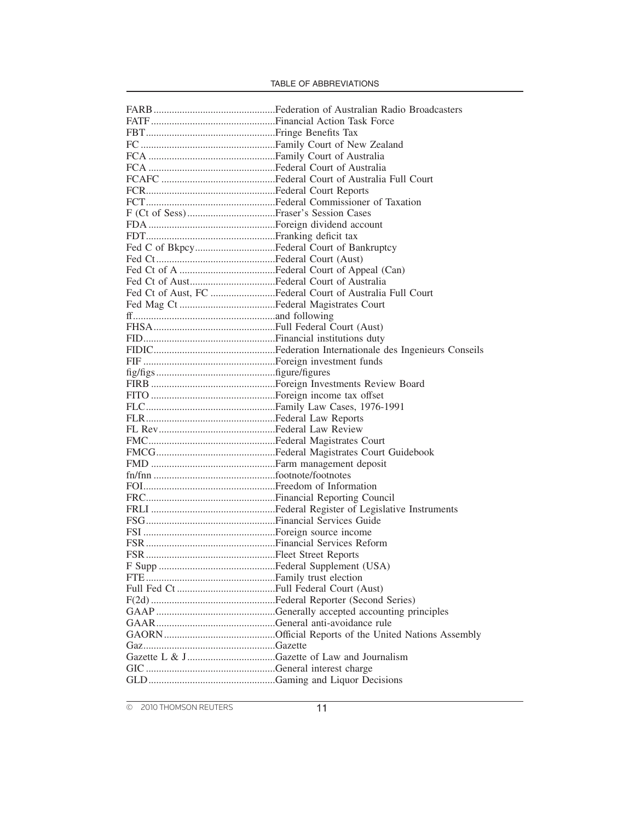| Fed C of BkpcyFederal Court of Bankruptcy |                                                          |
|-------------------------------------------|----------------------------------------------------------|
|                                           |                                                          |
|                                           |                                                          |
|                                           |                                                          |
|                                           | Fed Ct of Aust, FC Federal Court of Australia Full Court |
|                                           |                                                          |
|                                           |                                                          |
|                                           |                                                          |
|                                           |                                                          |
|                                           |                                                          |
|                                           |                                                          |
|                                           |                                                          |
|                                           |                                                          |
|                                           |                                                          |
|                                           |                                                          |
|                                           |                                                          |
|                                           |                                                          |
|                                           |                                                          |
|                                           |                                                          |
|                                           |                                                          |
|                                           |                                                          |
|                                           |                                                          |
|                                           |                                                          |
|                                           |                                                          |
|                                           |                                                          |
|                                           |                                                          |
|                                           |                                                          |
|                                           |                                                          |
|                                           |                                                          |
|                                           |                                                          |
|                                           |                                                          |
|                                           |                                                          |
|                                           |                                                          |
|                                           |                                                          |
|                                           |                                                          |
|                                           |                                                          |
|                                           |                                                          |
|                                           |                                                          |
|                                           |                                                          |
|                                           |                                                          |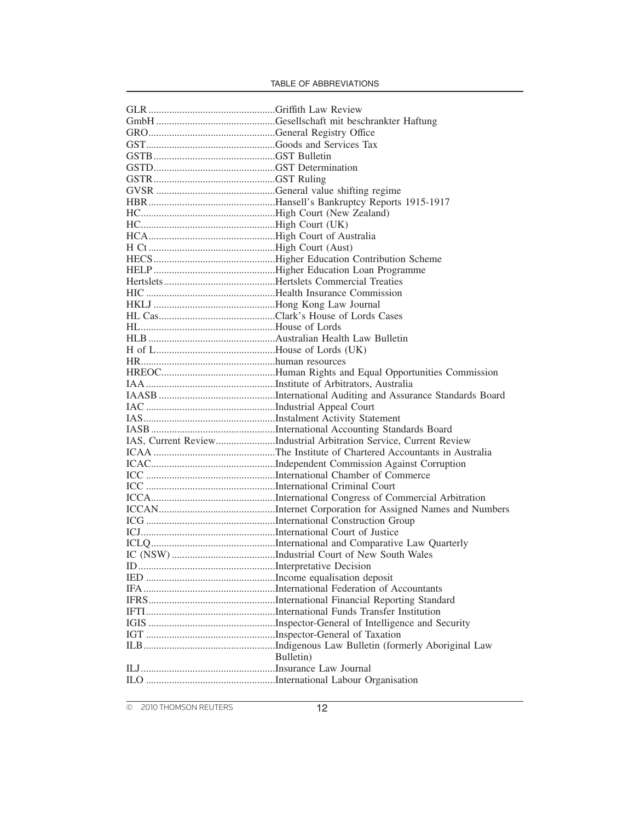| IAS, Current ReviewIndustrial Arbitration Service, Current Review |
|-------------------------------------------------------------------|
|                                                                   |
|                                                                   |
|                                                                   |
|                                                                   |
|                                                                   |
|                                                                   |
|                                                                   |
|                                                                   |
|                                                                   |
|                                                                   |
|                                                                   |
|                                                                   |
|                                                                   |
|                                                                   |
|                                                                   |
|                                                                   |
|                                                                   |
|                                                                   |
|                                                                   |
| Bulletin)                                                         |
|                                                                   |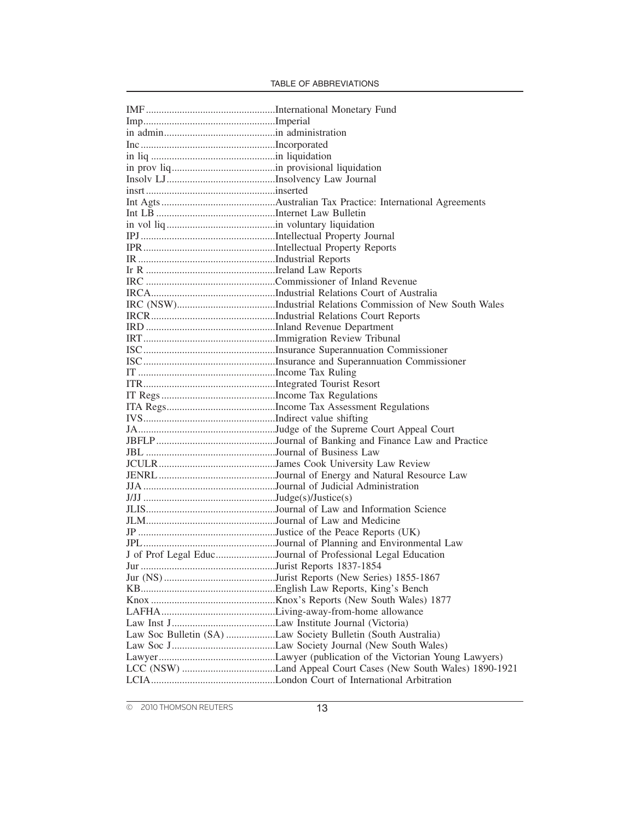| in liquidation |                                                              |
|----------------|--------------------------------------------------------------|
|                |                                                              |
|                |                                                              |
|                |                                                              |
|                |                                                              |
|                |                                                              |
|                |                                                              |
|                |                                                              |
|                |                                                              |
|                |                                                              |
|                |                                                              |
|                |                                                              |
|                |                                                              |
|                |                                                              |
|                |                                                              |
|                |                                                              |
|                |                                                              |
|                |                                                              |
|                |                                                              |
|                |                                                              |
|                |                                                              |
|                |                                                              |
|                |                                                              |
|                |                                                              |
|                |                                                              |
|                |                                                              |
|                |                                                              |
|                |                                                              |
|                |                                                              |
|                |                                                              |
|                |                                                              |
|                |                                                              |
|                |                                                              |
|                |                                                              |
|                |                                                              |
|                |                                                              |
|                | J of Prof Legal EducJournal of Professional Legal Education  |
| lur            |                                                              |
|                |                                                              |
|                |                                                              |
|                |                                                              |
|                |                                                              |
|                |                                                              |
|                | Law Soc Bulletin (SA) Law Society Bulletin (South Australia) |
|                |                                                              |
|                |                                                              |
|                |                                                              |
|                |                                                              |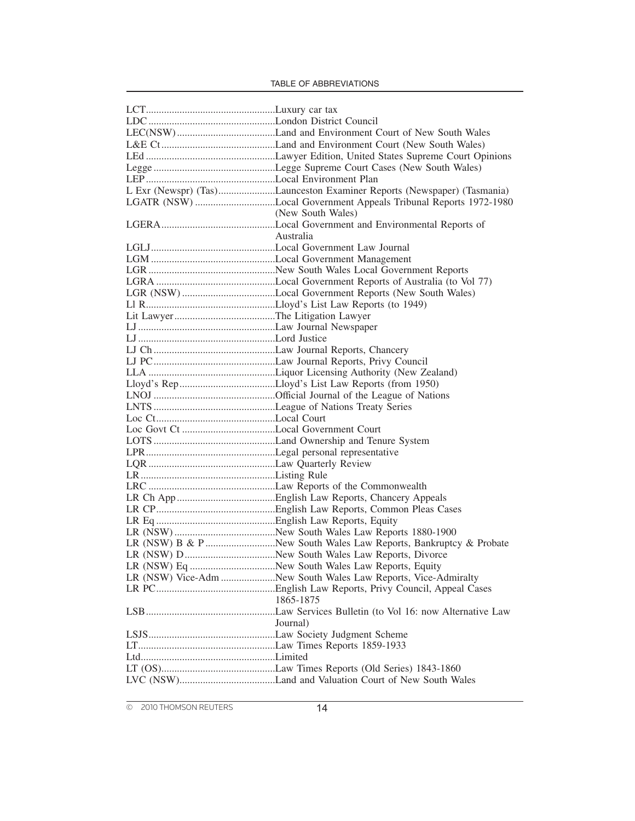| L Exr (Newspr) (Tas)Launceston Examiner Reports (Newspaper) (Tasmania) |
|------------------------------------------------------------------------|
| LGATR (NSW) Local Government Appeals Tribunal Reports 1972-1980        |
| (New South Wales)                                                      |
|                                                                        |
| Australia                                                              |
|                                                                        |
|                                                                        |
|                                                                        |
|                                                                        |
|                                                                        |
|                                                                        |
|                                                                        |
|                                                                        |
|                                                                        |
|                                                                        |
|                                                                        |
|                                                                        |
|                                                                        |
|                                                                        |
|                                                                        |
|                                                                        |
|                                                                        |
|                                                                        |
|                                                                        |
|                                                                        |
|                                                                        |
|                                                                        |
|                                                                        |
|                                                                        |
|                                                                        |
|                                                                        |
|                                                                        |
|                                                                        |
|                                                                        |
|                                                                        |
| LR (NSW) Vice-Adm New South Wales Law Reports, Vice-Admiralty          |
|                                                                        |
| 1865-1875                                                              |
|                                                                        |
| Journal)                                                               |
|                                                                        |
|                                                                        |
|                                                                        |
|                                                                        |
|                                                                        |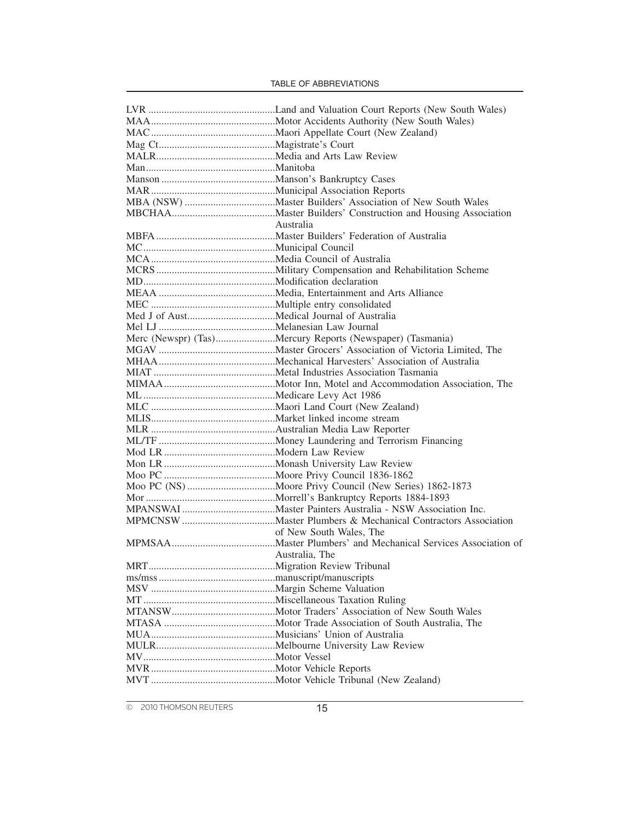|            | Australia                                                 |
|------------|-----------------------------------------------------------|
|            |                                                           |
|            |                                                           |
|            |                                                           |
|            |                                                           |
|            |                                                           |
|            |                                                           |
|            |                                                           |
|            |                                                           |
|            |                                                           |
|            |                                                           |
|            | Merc (Newspr) (Tas)Mercury Reports (Newspaper) (Tasmania) |
|            |                                                           |
|            |                                                           |
|            |                                                           |
|            |                                                           |
|            |                                                           |
|            |                                                           |
|            |                                                           |
|            |                                                           |
|            |                                                           |
|            |                                                           |
|            |                                                           |
|            |                                                           |
|            |                                                           |
|            |                                                           |
|            |                                                           |
|            |                                                           |
|            | of New South Wales, The                                   |
|            |                                                           |
|            |                                                           |
|            | Australia, The                                            |
| <b>MRT</b> |                                                           |
|            |                                                           |
|            |                                                           |
|            |                                                           |
|            |                                                           |
|            |                                                           |
|            |                                                           |
|            |                                                           |
|            |                                                           |
|            |                                                           |
|            |                                                           |
|            |                                                           |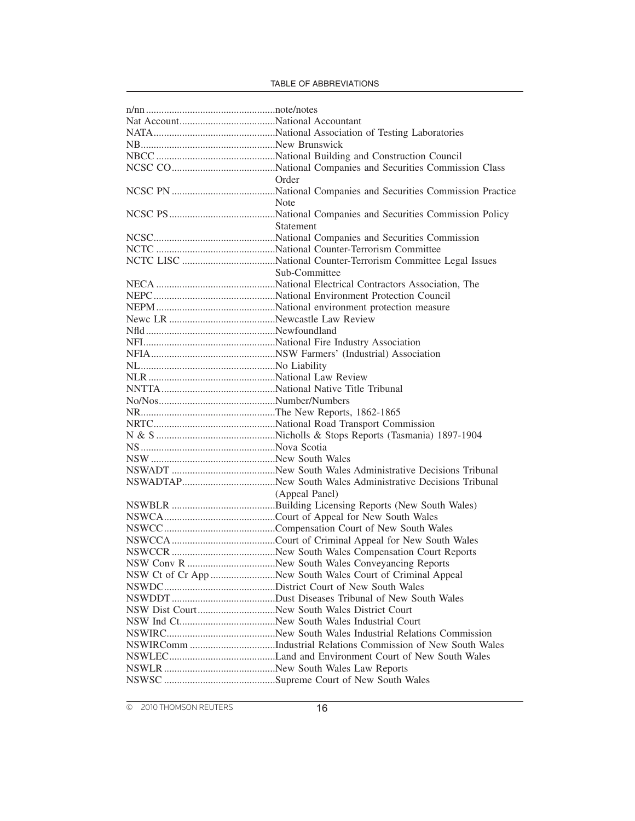|                                              | Order                                                     |
|----------------------------------------------|-----------------------------------------------------------|
|                                              |                                                           |
|                                              | Note                                                      |
|                                              |                                                           |
|                                              | Statement                                                 |
|                                              |                                                           |
|                                              |                                                           |
|                                              |                                                           |
|                                              |                                                           |
|                                              | Sub-Committee                                             |
|                                              |                                                           |
|                                              |                                                           |
|                                              |                                                           |
|                                              |                                                           |
|                                              |                                                           |
|                                              |                                                           |
|                                              |                                                           |
|                                              |                                                           |
|                                              |                                                           |
|                                              |                                                           |
|                                              |                                                           |
|                                              |                                                           |
|                                              |                                                           |
|                                              |                                                           |
|                                              |                                                           |
|                                              |                                                           |
|                                              |                                                           |
|                                              |                                                           |
|                                              | (Appeal Panel)                                            |
|                                              |                                                           |
|                                              |                                                           |
|                                              |                                                           |
|                                              |                                                           |
|                                              |                                                           |
|                                              |                                                           |
|                                              |                                                           |
|                                              | NSW Ct of Cr App New South Wales Court of Criminal Appeal |
|                                              |                                                           |
|                                              |                                                           |
| NSW Dist CourtNew South Wales District Court |                                                           |
|                                              |                                                           |
|                                              |                                                           |
|                                              |                                                           |
|                                              |                                                           |
|                                              |                                                           |
|                                              |                                                           |
|                                              |                                                           |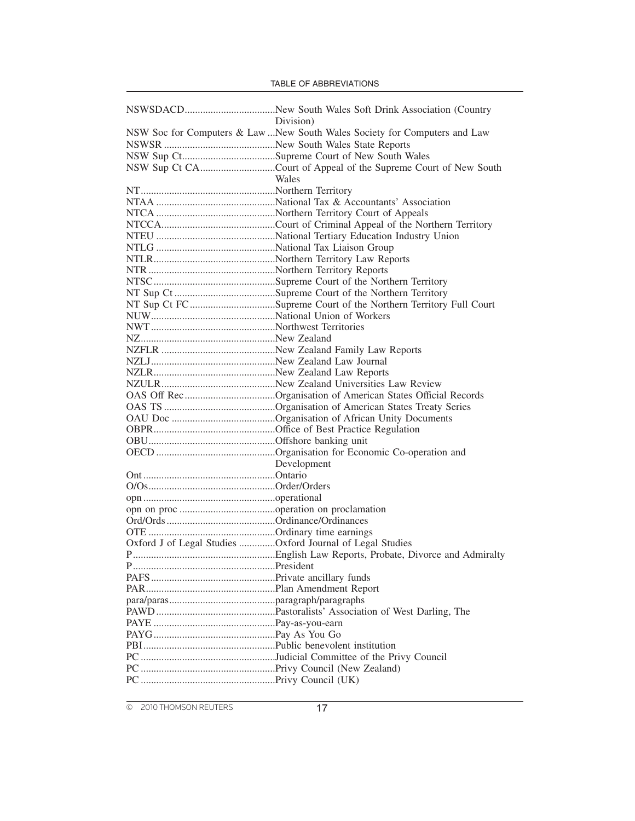|  |  |  | TABLE OF ABBREVIATIONS |
|--|--|--|------------------------|
|--|--|--|------------------------|

|                                                           | Division)                                                                  |
|-----------------------------------------------------------|----------------------------------------------------------------------------|
|                                                           | NSW Soc for Computers & Law  New South Wales Society for Computers and Law |
|                                                           |                                                                            |
|                                                           |                                                                            |
|                                                           | NSW Sup Ct CACourt of Appeal of the Supreme Court of New South             |
|                                                           | Wales                                                                      |
|                                                           |                                                                            |
|                                                           |                                                                            |
|                                                           |                                                                            |
|                                                           |                                                                            |
|                                                           |                                                                            |
|                                                           |                                                                            |
|                                                           |                                                                            |
|                                                           |                                                                            |
|                                                           |                                                                            |
|                                                           |                                                                            |
|                                                           | NT Sup Ct FCSupreme Court of the Northern Territory Full Court             |
|                                                           |                                                                            |
|                                                           |                                                                            |
|                                                           |                                                                            |
|                                                           |                                                                            |
|                                                           |                                                                            |
|                                                           |                                                                            |
|                                                           |                                                                            |
|                                                           |                                                                            |
|                                                           | OAS Off RecOrganisation of American States Official Records                |
|                                                           |                                                                            |
|                                                           |                                                                            |
|                                                           |                                                                            |
|                                                           |                                                                            |
|                                                           |                                                                            |
|                                                           | Development                                                                |
|                                                           |                                                                            |
|                                                           |                                                                            |
|                                                           |                                                                            |
|                                                           |                                                                            |
|                                                           |                                                                            |
|                                                           |                                                                            |
| Oxford J of Legal Studies Oxford Journal of Legal Studies |                                                                            |
|                                                           |                                                                            |
|                                                           |                                                                            |
|                                                           |                                                                            |
|                                                           |                                                                            |
|                                                           |                                                                            |
|                                                           |                                                                            |
|                                                           |                                                                            |
|                                                           |                                                                            |
|                                                           |                                                                            |
|                                                           |                                                                            |
|                                                           |                                                                            |
|                                                           |                                                                            |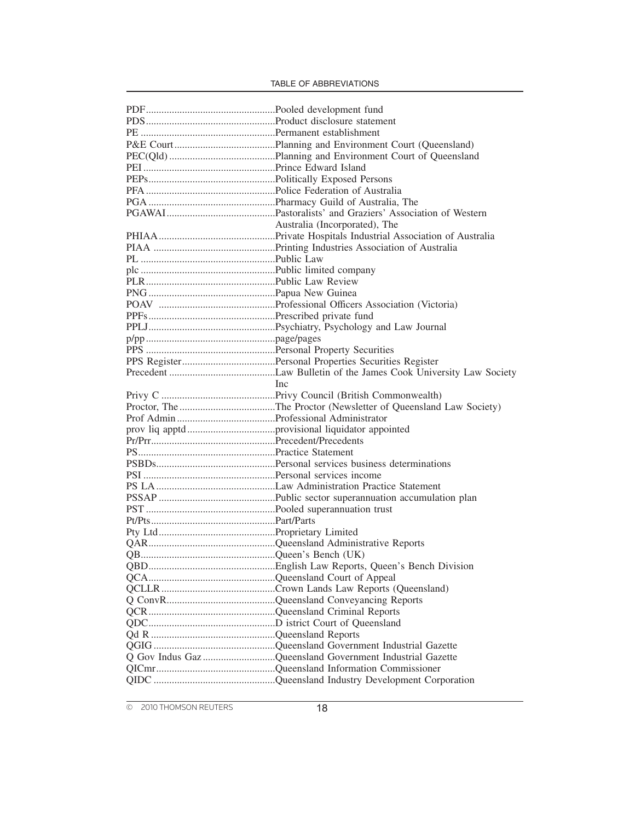| <b>Inc</b>                                               |
|----------------------------------------------------------|
|                                                          |
|                                                          |
|                                                          |
|                                                          |
|                                                          |
|                                                          |
|                                                          |
|                                                          |
|                                                          |
|                                                          |
|                                                          |
|                                                          |
|                                                          |
|                                                          |
|                                                          |
|                                                          |
|                                                          |
|                                                          |
|                                                          |
|                                                          |
|                                                          |
|                                                          |
|                                                          |
|                                                          |
| Q Gov Indus Gaz Queensland Government Industrial Gazette |
|                                                          |
|                                                          |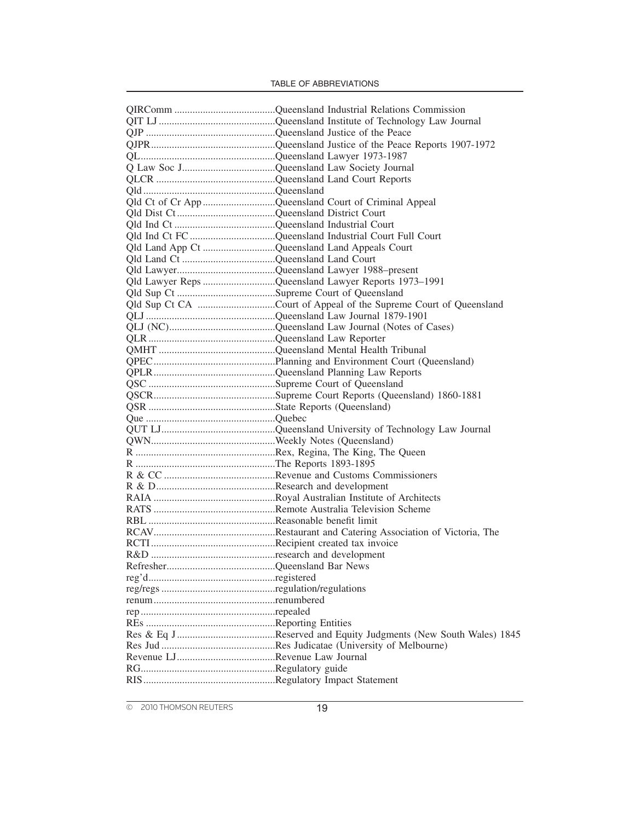| Qld Ct of Cr App Queensland Court of Criminal Appeal |
|------------------------------------------------------|
|                                                      |
|                                                      |
|                                                      |
|                                                      |
|                                                      |
|                                                      |
| Qld Lawyer Reps Queensland Lawyer Reports 1973-1991  |
|                                                      |
|                                                      |
|                                                      |
|                                                      |
|                                                      |
|                                                      |
|                                                      |
|                                                      |
|                                                      |
|                                                      |
|                                                      |
|                                                      |
|                                                      |
|                                                      |
|                                                      |
|                                                      |
|                                                      |
|                                                      |
|                                                      |
|                                                      |
|                                                      |
|                                                      |
|                                                      |
|                                                      |
|                                                      |
|                                                      |
|                                                      |
|                                                      |
|                                                      |
|                                                      |
|                                                      |
|                                                      |
|                                                      |
|                                                      |
|                                                      |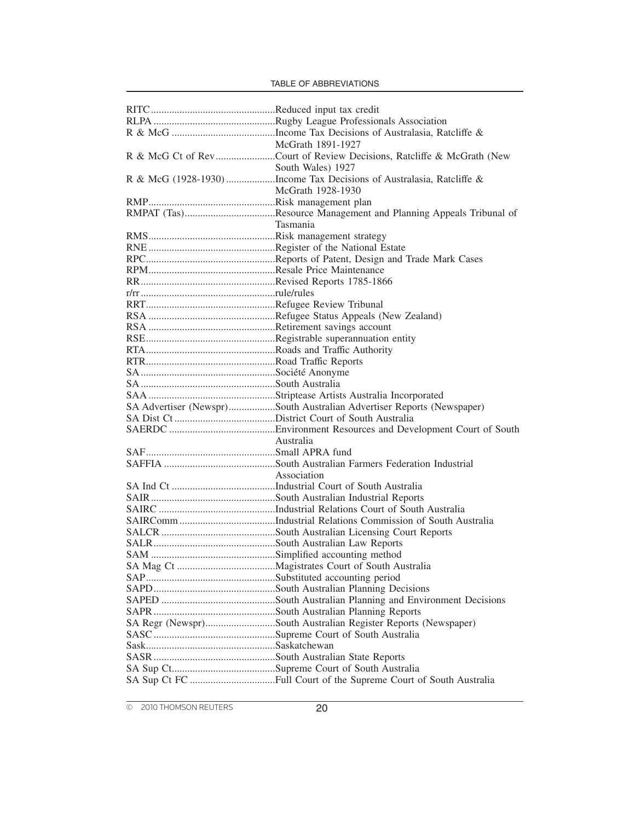| McGrath 1891-1927                                                                         |
|-------------------------------------------------------------------------------------------|
|                                                                                           |
| South Wales) 1927                                                                         |
| South Wales) 1927<br>R & McG (1928-1930) Income Tax Decisions of Australasia, Ratcliffe & |
| McGrath 1928-1930                                                                         |
|                                                                                           |
|                                                                                           |
| Tasmania                                                                                  |
|                                                                                           |
|                                                                                           |
|                                                                                           |
|                                                                                           |
|                                                                                           |
|                                                                                           |
|                                                                                           |
|                                                                                           |
|                                                                                           |
|                                                                                           |
|                                                                                           |
|                                                                                           |
|                                                                                           |
|                                                                                           |
|                                                                                           |
| SA Advertiser (Newspr)South Australian Advertiser Reports (Newspaper)                     |
|                                                                                           |
|                                                                                           |
| Australia                                                                                 |
|                                                                                           |
|                                                                                           |
| Association                                                                               |
|                                                                                           |
|                                                                                           |
|                                                                                           |
|                                                                                           |
|                                                                                           |
|                                                                                           |
|                                                                                           |
|                                                                                           |
|                                                                                           |
|                                                                                           |
|                                                                                           |
|                                                                                           |
| SA Regr (Newspr)South Australian Register Reports (Newspaper)                             |
|                                                                                           |
|                                                                                           |
|                                                                                           |
|                                                                                           |
|                                                                                           |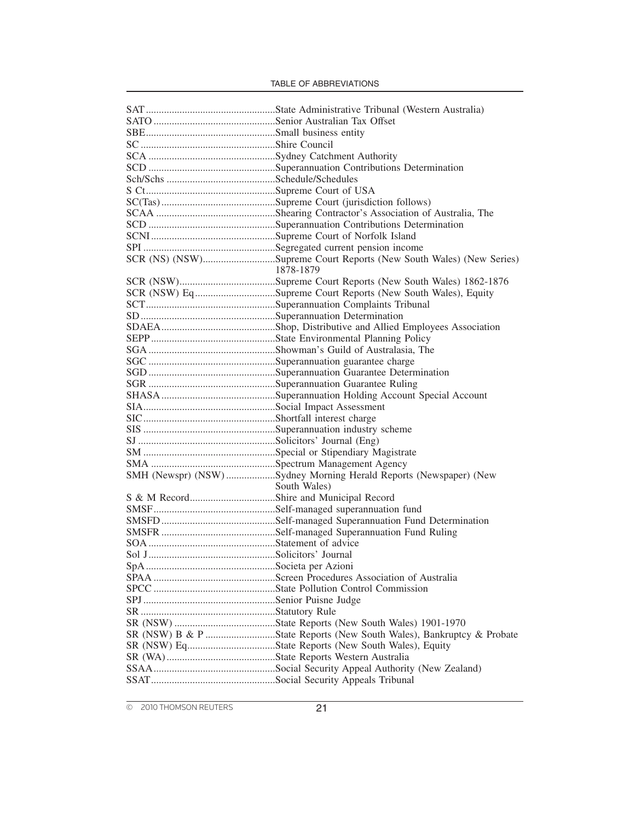| SCR (NS) (NSW)Supreme Court Reports (New South Wales) (New Series)   |  |
|----------------------------------------------------------------------|--|
| 1878-1879                                                            |  |
|                                                                      |  |
| SCR (NSW) EqSupreme Court Reports (New South Wales), Equity          |  |
|                                                                      |  |
|                                                                      |  |
|                                                                      |  |
|                                                                      |  |
|                                                                      |  |
|                                                                      |  |
|                                                                      |  |
|                                                                      |  |
|                                                                      |  |
|                                                                      |  |
|                                                                      |  |
|                                                                      |  |
|                                                                      |  |
|                                                                      |  |
|                                                                      |  |
| SMH (Newspr) (NSW) Sydney Morning Herald Reports (Newspaper) (New    |  |
| South Wales)                                                         |  |
|                                                                      |  |
|                                                                      |  |
|                                                                      |  |
|                                                                      |  |
|                                                                      |  |
|                                                                      |  |
|                                                                      |  |
|                                                                      |  |
|                                                                      |  |
|                                                                      |  |
|                                                                      |  |
|                                                                      |  |
|                                                                      |  |
|                                                                      |  |
| SR (NSW) B & P State Reports (New South Wales), Bankruptcy & Probate |  |
| SR (NSW) EqState Reports (New South Wales), Equity                   |  |
|                                                                      |  |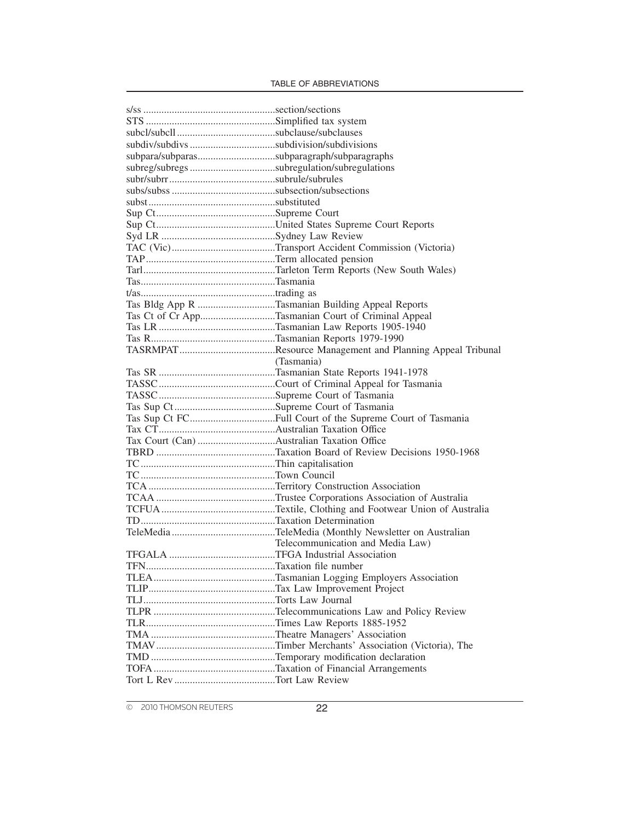| subpara/subparassubparagraph/subparagraphs |                                                    |
|--------------------------------------------|----------------------------------------------------|
|                                            |                                                    |
|                                            |                                                    |
|                                            |                                                    |
|                                            |                                                    |
|                                            |                                                    |
|                                            |                                                    |
|                                            |                                                    |
|                                            |                                                    |
|                                            |                                                    |
|                                            |                                                    |
|                                            |                                                    |
|                                            |                                                    |
|                                            | Tas Bldg App R Tasmanian Building Appeal Reports   |
|                                            | Tas Ct of Cr AppTasmanian Court of Criminal Appeal |
|                                            |                                                    |
|                                            |                                                    |
|                                            |                                                    |
|                                            | (Tasmania)                                         |
|                                            |                                                    |
|                                            |                                                    |
|                                            |                                                    |
|                                            |                                                    |
|                                            |                                                    |
|                                            |                                                    |
|                                            |                                                    |
|                                            |                                                    |
|                                            |                                                    |
|                                            |                                                    |
|                                            |                                                    |
|                                            |                                                    |
|                                            |                                                    |
|                                            |                                                    |
|                                            |                                                    |
|                                            | Telecommunication and Media Law)                   |
|                                            |                                                    |
|                                            |                                                    |
|                                            |                                                    |
|                                            |                                                    |
|                                            |                                                    |
|                                            |                                                    |
|                                            |                                                    |
|                                            |                                                    |
|                                            |                                                    |
|                                            |                                                    |
|                                            |                                                    |
|                                            |                                                    |
|                                            |                                                    |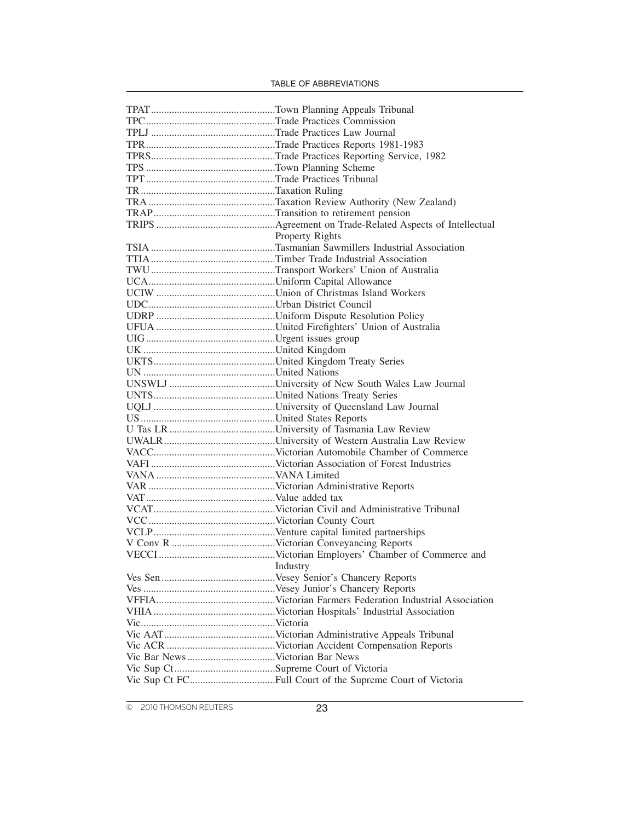|          | <b>Property Rights</b> |
|----------|------------------------|
|          |                        |
|          |                        |
|          |                        |
|          |                        |
|          |                        |
|          |                        |
|          |                        |
|          |                        |
|          |                        |
|          |                        |
|          |                        |
|          |                        |
|          |                        |
|          |                        |
|          |                        |
|          |                        |
|          |                        |
|          |                        |
|          |                        |
|          |                        |
|          |                        |
|          |                        |
|          |                        |
|          |                        |
|          |                        |
|          |                        |
|          |                        |
|          |                        |
|          |                        |
| Industry |                        |
|          |                        |
|          |                        |
|          |                        |
|          |                        |
|          |                        |
|          |                        |
|          |                        |
|          |                        |
|          |                        |
|          |                        |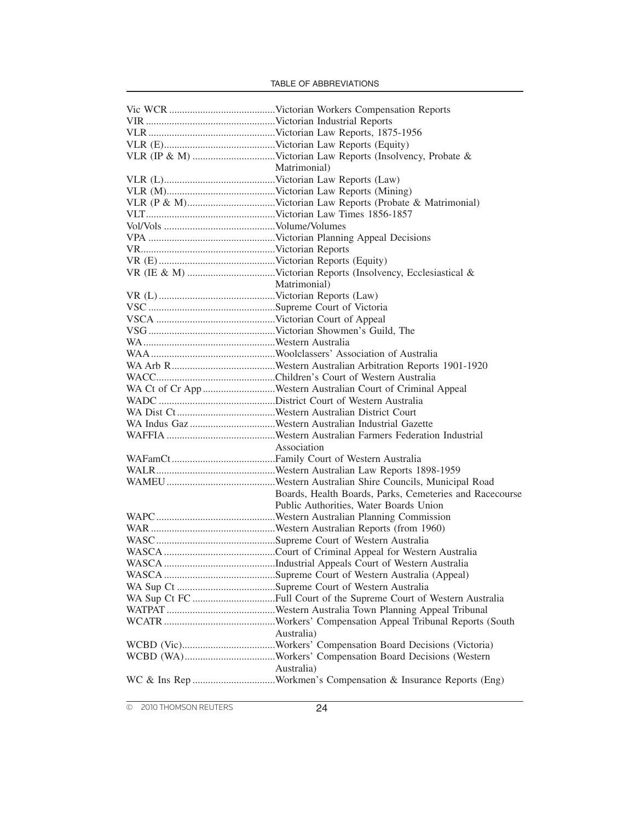| Matrimonial)                                                  |
|---------------------------------------------------------------|
|                                                               |
|                                                               |
|                                                               |
|                                                               |
|                                                               |
|                                                               |
|                                                               |
|                                                               |
|                                                               |
| Matrimonial)                                                  |
|                                                               |
|                                                               |
|                                                               |
|                                                               |
|                                                               |
|                                                               |
|                                                               |
|                                                               |
| WA Ct of Cr App Western Australian Court of Criminal Appeal   |
|                                                               |
|                                                               |
|                                                               |
|                                                               |
| Association                                                   |
|                                                               |
|                                                               |
|                                                               |
| Boards, Health Boards, Parks, Cemeteries and Racecourse       |
| Public Authorities, Water Boards Union                        |
|                                                               |
|                                                               |
|                                                               |
|                                                               |
|                                                               |
|                                                               |
|                                                               |
|                                                               |
|                                                               |
|                                                               |
| Australia)                                                    |
|                                                               |
|                                                               |
| Australia)                                                    |
| WC & Ins Rep Workmen's Compensation & Insurance Reports (Eng) |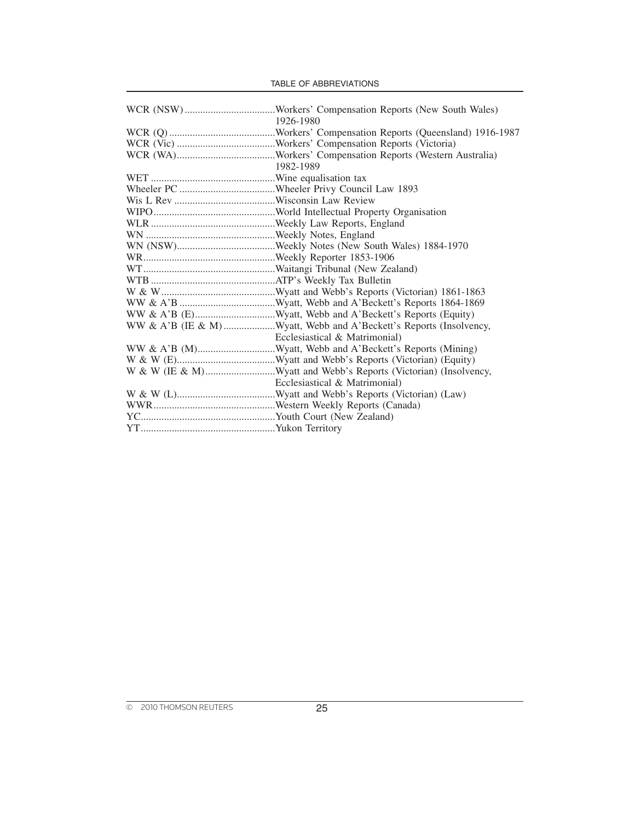|  |  |  | <b>TABLE OF ABBREVIATIONS</b> |
|--|--|--|-------------------------------|
|--|--|--|-------------------------------|

| 1926-1980                                                       |
|-----------------------------------------------------------------|
|                                                                 |
|                                                                 |
|                                                                 |
| 1982-1989                                                       |
|                                                                 |
|                                                                 |
|                                                                 |
|                                                                 |
|                                                                 |
|                                                                 |
|                                                                 |
|                                                                 |
|                                                                 |
|                                                                 |
|                                                                 |
|                                                                 |
|                                                                 |
|                                                                 |
| Ecclesiastical & Matrimonial)                                   |
|                                                                 |
|                                                                 |
| W & W (IE & M)Wyatt and Webb's Reports (Victorian) (Insolvency, |
| Ecclesiastical & Matrimonial)                                   |
|                                                                 |
|                                                                 |
|                                                                 |
|                                                                 |